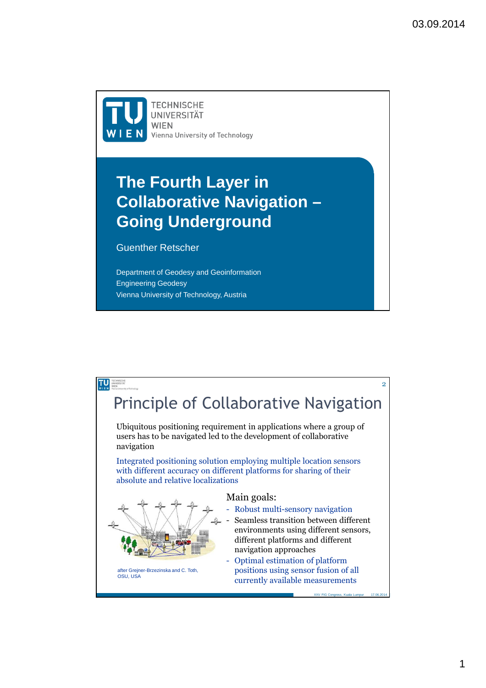**TECHNISCHE UNIVERSITÄT WIEN** Vienna University of Technology

## **The Fourth Layer in Collaborative Navigation – Going Underground**

## Guenther Retscher

Department of Geodesy and Geoinformation Engineering Geodesy Vienna University of Technology, Austria

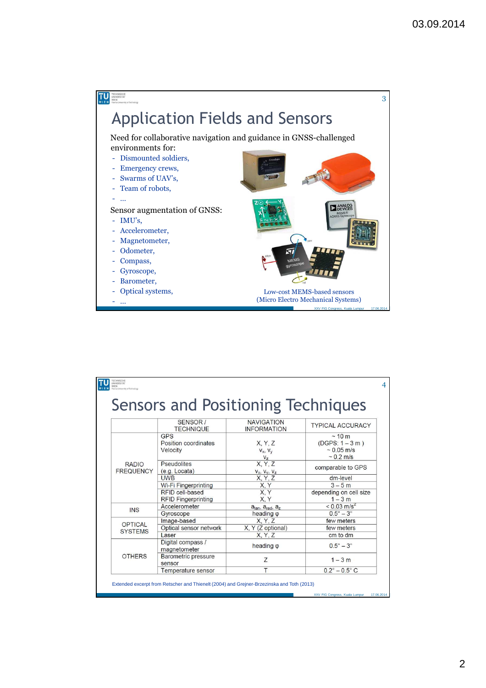

|                                  | <b>Sensors and Positioning Techniques</b>                             |                                         |                                                                         |
|----------------------------------|-----------------------------------------------------------------------|-----------------------------------------|-------------------------------------------------------------------------|
|                                  | SENSOR /<br><b>TECHNIQUE</b>                                          | <b>NAVIGATION</b><br><b>INFORMATION</b> | <b>TYPICAL ACCURACY</b>                                                 |
| <b>RADIO</b><br><b>FREQUENCY</b> | <b>GPS</b><br>Position coordinates<br>Velocity                        | X, Y, Z<br>$V_X, V_V$<br>V <sub>z</sub> | ~10~m<br>$(DGPS: 1 - 3 m)$<br>$\sim 0.05$ m/s<br>$\sim 0.2 \text{ m/s}$ |
|                                  | <b>Pseudolites</b><br>(e.g. Local)                                    | X, Y, Z<br>$V_x$ , $V_y$ , $V_z$        | comparable to GPS                                                       |
|                                  | <b>UWB</b>                                                            | X, Y, Z                                 | dm-level                                                                |
|                                  | Wi-Fi Fingerprinting<br>RFID cell-based<br><b>RFID Fingerprinting</b> | X.Y<br>X.Y<br>X.Y                       | $3 - 5m$<br>depending on cell size<br>$1 - 3m$                          |
| <b>INS</b>                       | Accelerometer                                                         | $atan, arad, az$                        | $< 0.03$ m/s <sup>2</sup>                                               |
|                                  | Gyroscope                                                             | heading $\varphi$                       | $0.5^\circ - 3^\circ$                                                   |
| OPTICAL<br><b>SYSTEMS</b>        | Image-based                                                           | X. Y. Z                                 | few meters                                                              |
|                                  | Optical sensor network                                                | X, Y (Z optional)                       | few meters                                                              |
| <b>OTHERS</b>                    | Laser<br>Digital compass /<br>magnetometer                            | X, Y, Z<br>heading $\varphi$            | cm to dm<br>$0.5^\circ - 3^\circ$                                       |
|                                  | Barometric pressure<br>sensor                                         | Z                                       | $1 - 3m$                                                                |
|                                  | Temperature sensor                                                    | T                                       | $0.2^{\circ} - 0.5^{\circ}$ C                                           |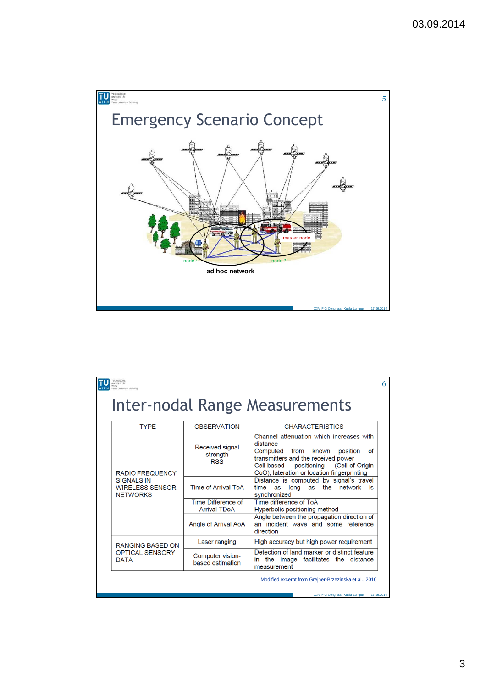

| <b>OBSERVATION</b>                        | Inter-nodal Range Measurements<br><b>CHARACTERISTICS</b><br>Channel attenuation which increases with                                                                                    |
|-------------------------------------------|-----------------------------------------------------------------------------------------------------------------------------------------------------------------------------------------|
|                                           |                                                                                                                                                                                         |
|                                           |                                                                                                                                                                                         |
| Received signal<br>strength<br><b>RSS</b> | distance<br>Computed from known<br>position<br>οf<br>transmitters and the received power<br>Cell-based<br>positioning<br>(Cell-of-Origin<br>CoO), lateration or location fingerprinting |
| <b>Time of Arrival ToA</b>                | Distance is computed by signal's travel<br>the network<br>long<br>time<br>as<br>as<br>- is<br>synchronized                                                                              |
| Time Difference of<br><b>Arrival TDoA</b> | Time difference of ToA<br>Hyperbolic positioning method                                                                                                                                 |
| Angle of Arrival AoA                      | Angle between the propagation direction of<br>an incident wave and some reference<br>direction                                                                                          |
| Laser ranging                             | High accuracy but high power requirement                                                                                                                                                |
| Computer vision-<br>based estimation      | Detection of land marker or distinct feature<br>in the image facilitates the distance<br>measurement                                                                                    |
|                                           |                                                                                                                                                                                         |

XXV FIG Congress, Kuala Lumpur 17.06.2014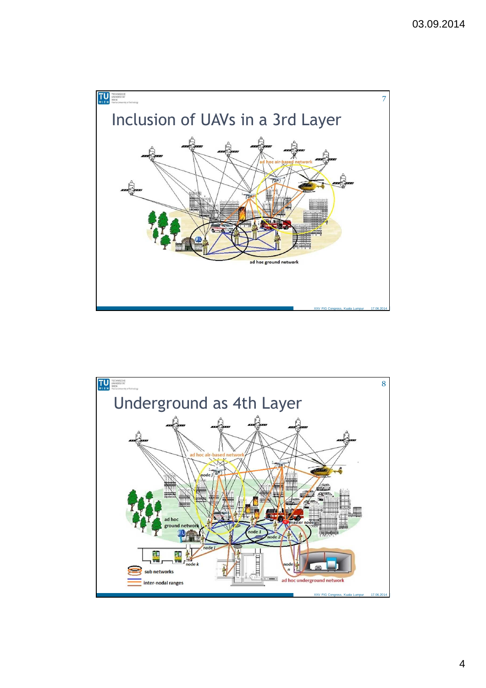

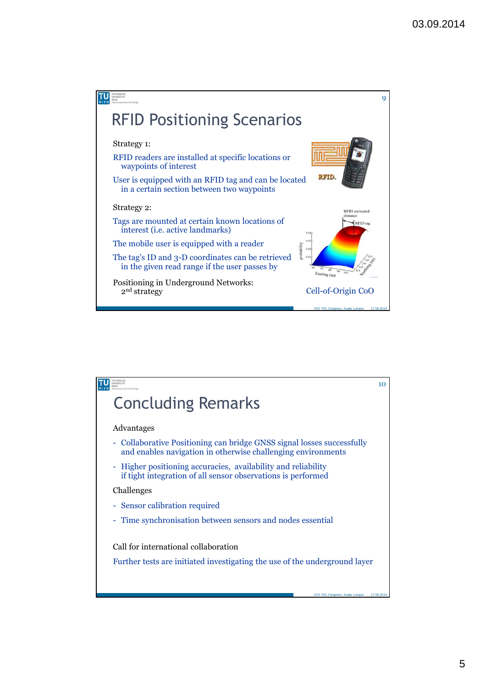